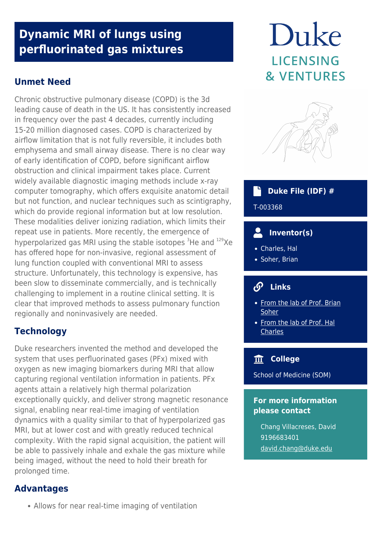# **Dynamic MRI of lungs using perfluorinated gas mixtures**

# **Unmet Need**

Chronic obstructive pulmonary disease (COPD) is the 3d leading cause of death in the US. It has consistently increased in frequency over the past 4 decades, currently including 15-20 million diagnosed cases. COPD is characterized by airflow limitation that is not fully reversible, it includes both emphysema and small airway disease. There is no clear way of early identification of COPD, before significant airflow obstruction and clinical impairment takes place. Current widely available diagnostic imaging methods include x-ray computer tomography, which offers exquisite anatomic detail but not function, and nuclear techniques such as scintigraphy, which do provide regional information but at low resolution. These modalities deliver ionizing radiation, which limits their repeat use in patients. More recently, the emergence of hyperpolarized gas MRI using the stable isotopes  ${}^{3}$ He and  ${}^{129}$ Xe has offered hope for non-invasive, regional assessment of lung function coupled with conventional MRI to assess structure. Unfortunately, this technology is expensive, has been slow to disseminate commercially, and is technically challenging to implement in a routine clinical setting. It is clear that improved methods to assess pulmonary function regionally and noninvasively are needed.

# **Technology**

Duke researchers invented the method and developed the system that uses perfluorinated gases (PFx) mixed with oxygen as new imaging biomarkers during MRI that allow capturing regional ventilation information in patients. PFx agents attain a relatively high thermal polarization exceptionally quickly, and deliver strong magnetic resonance signal, enabling near real-time imaging of ventilation dynamics with a quality similar to that of hyperpolarized gas MRI, but at lower cost and with greatly reduced technical complexity. With the rapid signal acquisition, the patient will be able to passively inhale and exhale the gas mixture while being imaged, without the need to hold their breath for prolonged time.

# **Advantages**

Allows for near real-time imaging of ventilation

# Duke **LICENSING & VENTURES**



#### **Duke File (IDF) #** ۰ĥ

T-003368

#### $\overline{\phantom{a}}$  **Inventor(s)**

- Charles, Hal
- Soher, Brian

# **Links**

- [From the lab of Prof. Brian](https://radiology.duke.edu/faculty/member/brian-j-soher/) [Soher](https://radiology.duke.edu/faculty/member/brian-j-soher/)
- [From the lab of Prof. Hal](http://www.dukecancerinstitute.org/member/charles-hal) **[Charles](http://www.dukecancerinstitute.org/member/charles-hal)**

# **College**

School of Medicine (SOM)

## **For more information please contact**

Chang Villacreses, David 9196683401 [david.chang@duke.edu](mailto:david.chang@duke.edu)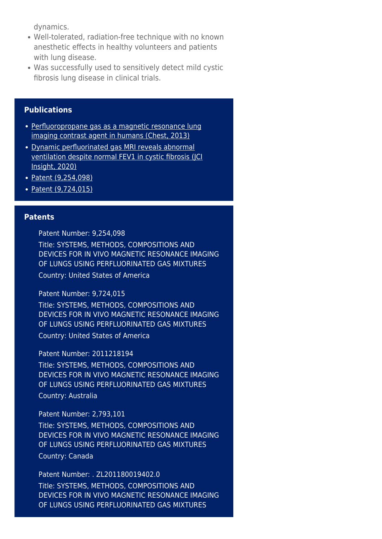dynamics.

- Well-tolerated, radiation-free technique with no known anesthetic effects in healthy volunteers and patients with lung disease.
- Was successfully used to sensitively detect mild cystic fibrosis lung disease in clinical trials.

### **Publications**

- [Perfluoropropane gas as a magnetic resonance lung](https://pubmed.ncbi.nlm.nih.gov/23722696/) [imaging contrast agent in humans \(Chest, 2013\)](https://pubmed.ncbi.nlm.nih.gov/23722696/)
- [Dynamic perfluorinated gas MRI reveals abnormal](https://pubmed.ncbi.nlm.nih.gov/31855577/) [ventilation despite normal FEV1 in cystic fibrosis \(JCI](https://pubmed.ncbi.nlm.nih.gov/31855577/) [Insight, 2020\)](https://pubmed.ncbi.nlm.nih.gov/31855577/)
- [Patent \(9,254,098\)](https://patents.google.com/patent/US9254098B2/en?oq=9%2c254%2c098)
- [Patent \(9,724,015\)](https://patents.google.com/patent/US9724015B2/en?oq=9%2c724%2c015)

#### **Patents**

Patent Number: 9,254,098

Title: SYSTEMS, METHODS, COMPOSITIONS AND DEVICES FOR IN VIVO MAGNETIC RESONANCE IMAGING OF LUNGS USING PERFLUORINATED GAS MIXTURES Country: United States of America

Patent Number: 9,724,015

Title: SYSTEMS, METHODS, COMPOSITIONS AND DEVICES FOR IN VIVO MAGNETIC RESONANCE IMAGING OF LUNGS USING PERFLUORINATED GAS MIXTURES

Country: United States of America

#### Patent Number: 2011218194

Title: SYSTEMS, METHODS, COMPOSITIONS AND DEVICES FOR IN VIVO MAGNETIC RESONANCE IMAGING OF LUNGS USING PERFLUORINATED GAS MIXTURES

Country: Australia

#### Patent Number: 2,793,101

Title: SYSTEMS, METHODS, COMPOSITIONS AND DEVICES FOR IN VIVO MAGNETIC RESONANCE IMAGING OF LUNGS USING PERFLUORINATED GAS MIXTURES Country: Canada

Patent Number: . ZL201180019402.0 Title: SYSTEMS, METHODS, COMPOSITIONS AND DEVICES FOR IN VIVO MAGNETIC RESONANCE IMAGING OF LUNGS USING PERFLUORINATED GAS MIXTURES